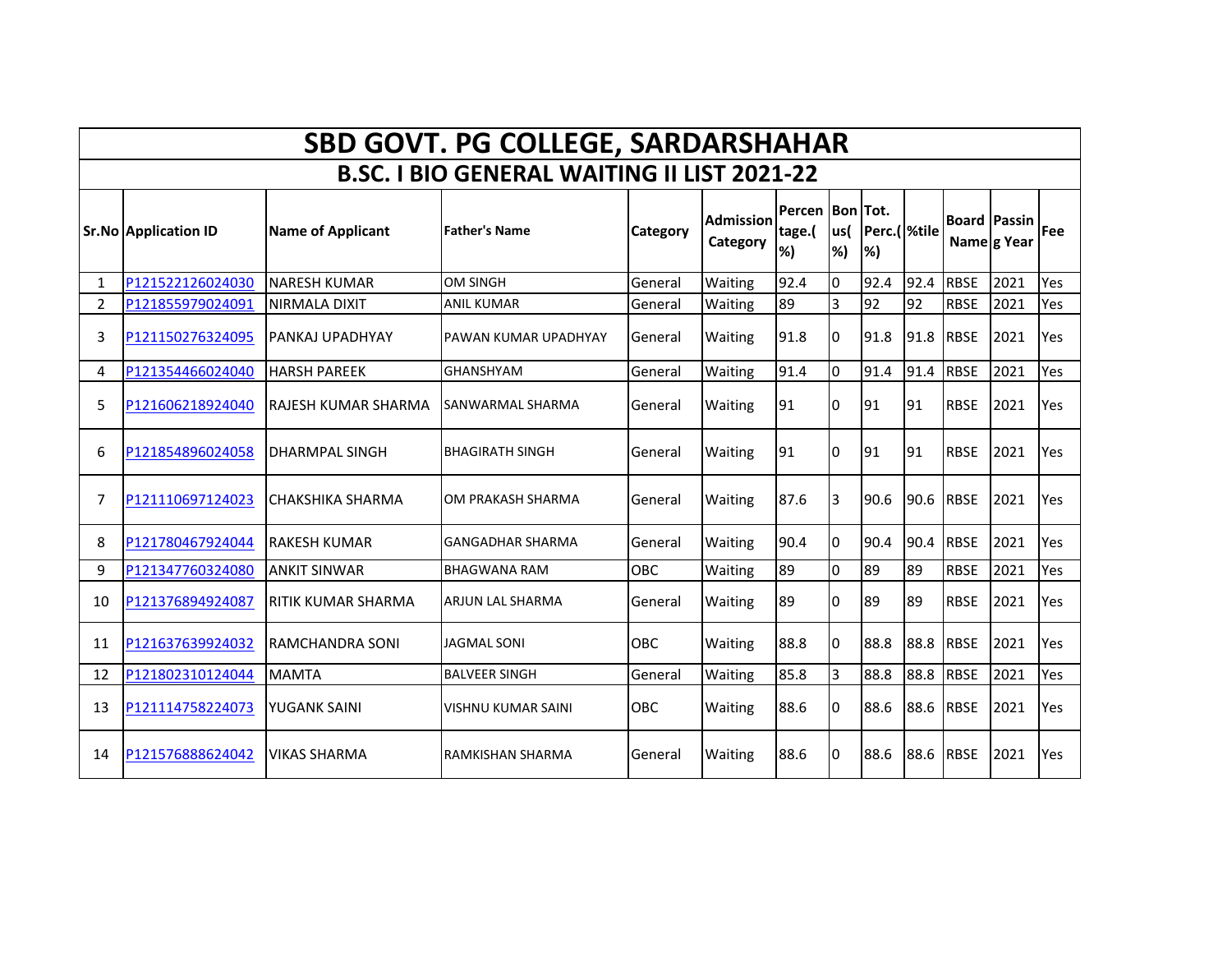|                | <b>SBD GOVT. PG COLLEGE, SARDARSHAHAR</b>          |                          |                         |                 |                              |                                |                |                           |      |                     |             |     |  |
|----------------|----------------------------------------------------|--------------------------|-------------------------|-----------------|------------------------------|--------------------------------|----------------|---------------------------|------|---------------------|-------------|-----|--|
|                | <b>B.SC. I BIO GENERAL WAITING II LIST 2021-22</b> |                          |                         |                 |                              |                                |                |                           |      |                     |             |     |  |
|                | <b>Sr.No Application ID</b>                        | <b>Name of Applicant</b> | <b>Father's Name</b>    | <b>Category</b> | <b>Admission</b><br>Category | Percen Bon Tot.<br>tage.(<br>% | lus(<br>%)     | Perc.( <i>Mtile</i><br>%) |      | <b>Board Passin</b> | Name g Year | Fee |  |
| 1              | P121522126024030                                   | NARESH KUMAR             | OM SINGH                | General         | Waiting                      | 92.4                           | l0             | 92.4                      | 92.4 | <b>RBSE</b>         | 2021        | Yes |  |
| $\overline{2}$ | P121855979024091                                   | NIRMALA DIXIT            | <b>ANIL KUMAR</b>       | General         | Waiting                      | 89                             | $\overline{3}$ | 92                        | 92   | <b>RBSE</b>         | 2021        | Yes |  |
| 3              | P121150276324095                                   | PANKAJ UPADHYAY          | PAWAN KUMAR UPADHYAY    | General         | Waiting                      | 91.8                           | I0             | 91.8                      | 91.8 | <b>RBSE</b>         | 2021        | Yes |  |
| 4              | P121354466024040                                   | <b>HARSH PAREEK</b>      | <b>GHANSHYAM</b>        | General         | Waiting                      | 91.4                           | 0              | 91.4                      | 91.4 | <b>RBSE</b>         | 2021        | Yes |  |
| 5              | P121606218924040                                   | RAJESH KUMAR SHARMA      | SANWARMAL SHARMA        | General         | Waiting                      | 91                             | I0             | 91                        | 91   | <b>RBSE</b>         | 2021        | Yes |  |
| 6              | P121854896024058                                   | <b>DHARMPAL SINGH</b>    | <b>BHAGIRATH SINGH</b>  | General         | Waiting                      | 91                             | I0             | 91                        | 91   | <b>RBSE</b>         | 2021        | Yes |  |
| 7              | P121110697124023                                   | <b>CHAKSHIKA SHARMA</b>  | OM PRAKASH SHARMA       | General         | Waiting                      | 87.6                           | l3             | 90.6                      | 90.6 | <b>RBSE</b>         | 2021        | Yes |  |
| 8              | P121780467924044                                   | <b>RAKESH KUMAR</b>      | <b>GANGADHAR SHARMA</b> | General         | Waiting                      | 90.4                           | l0             | 90.4                      | 90.4 | <b>RBSE</b>         | 2021        | Yes |  |
| 9              | P121347760324080                                   | <b>ANKIT SINWAR</b>      | <b>BHAGWANA RAM</b>     | OBC             | Waiting                      | 89                             | I٥             | 89                        | 89   | <b>RBSE</b>         | 2021        | Yes |  |
| 10             | P121376894924087                                   | RITIK KUMAR SHARMA       | <b>ARJUN LAL SHARMA</b> | General         | Waiting                      | 89                             | 10             | 89                        | 89   | <b>RBSE</b>         | 2021        | Yes |  |
| 11             | P121637639924032                                   | RAMCHANDRA SONI          | <b>JAGMAL SONI</b>      | <b>OBC</b>      | Waiting                      | 88.8                           | l0             | 88.8                      | 88.8 | <b>RBSE</b>         | 2021        | Yes |  |
| 12             | P121802310124044                                   | <b>MAMTA</b>             | <b>BALVEER SINGH</b>    | General         | Waiting                      | 85.8                           | 3              | 88.8                      | 88.8 | <b>RBSE</b>         | 2021        | Yes |  |
| 13             | P121114758224073                                   | <b>YUGANK SAINI</b>      | VISHNU KUMAR SAINI      | OBC             | Waiting                      | 88.6                           | 10             | 88.6                      | 88.6 | <b>RBSE</b>         | 2021        | Yes |  |
| 14             | P121576888624042                                   | <b>VIKAS SHARMA</b>      | RAMKISHAN SHARMA        | General         | Waiting                      | 88.6                           | I0             | 88.6                      | 88.6 | <b>RBSE</b>         | 2021        | Yes |  |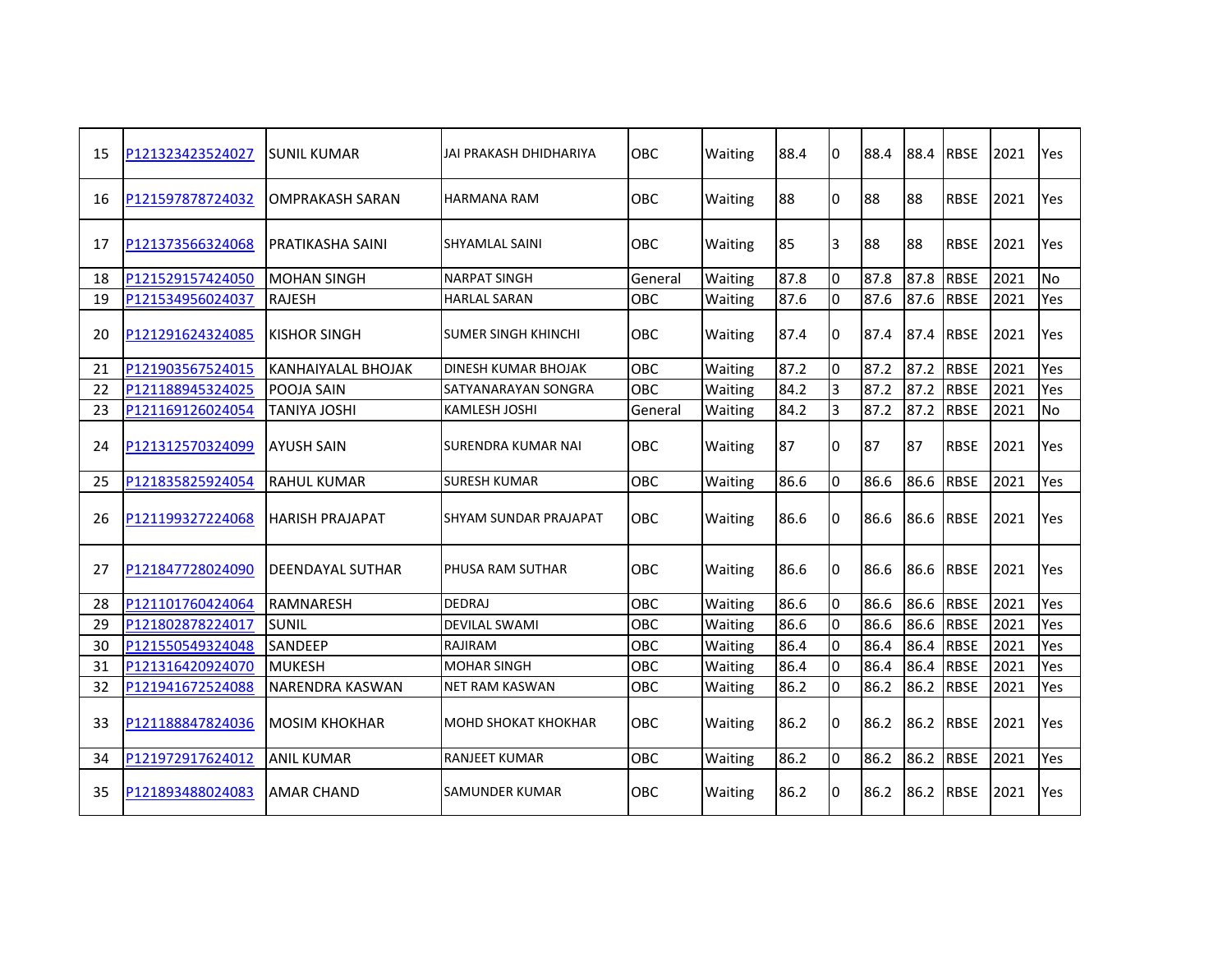| 15 | P121323423524027 | ISUNIL KUMAR              | JAI PRAKASH DHIDHARIYA     | OBC        | Waiting | 88.4 | 0              | 88.4 | 88.4 | <b>RBSE</b> | 2021 | Yes       |
|----|------------------|---------------------------|----------------------------|------------|---------|------|----------------|------|------|-------------|------|-----------|
| 16 | P121597878724032 | <b>OMPRAKASH SARAN</b>    | HARMANA RAM                | OBC        | Waiting | 88   | I٥             | 88   | 88   | <b>RBSE</b> | 2021 | Yes       |
| 17 | P121373566324068 | PRATIKASHA SAINI          | <b>SHYAMLAL SAINI</b>      | OBC        | Waiting | 85   | 3              | 88   | 88   | <b>RBSE</b> | 2021 | Yes       |
| 18 | P121529157424050 | <b>MOHAN SINGH</b>        | <b>NARPAT SINGH</b>        | General    | Waiting | 87.8 | <sup>o</sup>   | 87.8 | 87.8 | <b>RBSE</b> | 2021 | No        |
| 19 | P121534956024037 | <b>RAJESH</b>             | <b>HARLAL SARAN</b>        | OBC        | Waiting | 87.6 | l0             | 87.6 | 87.6 | <b>RBSE</b> | 2021 | Yes       |
| 20 | P121291624324085 | IKISHOR SINGH             | SUMER SINGH KHINCHI        | OBC        | Waiting | 87.4 | I0             | 87.4 | 87.4 | <b>RBSE</b> | 2021 | Yes.      |
| 21 | P121903567524015 | <b>KANHAIYALAL BHOJAK</b> | DINESH KUMAR BHOJAK        | OBC        | Waiting | 87.2 | <sup>o</sup>   | 87.2 | 87.2 | <b>RBSE</b> | 2021 | Yes       |
| 22 | P121188945324025 | POOJA SAIN                | SATYANARAYAN SONGRA        | OBC        | Waiting | 84.2 | $\overline{3}$ | 87.2 | 87.2 | <b>RBSE</b> | 2021 | Yes       |
| 23 | P121169126024054 | <b>TANIYA JOSHI</b>       | <b>KAMLESH JOSHI</b>       | General    | Waiting | 84.2 | Iз             | 87.2 | 87.2 | <b>RBSE</b> | 2021 | <b>No</b> |
| 24 | P121312570324099 | <b>AYUSH SAIN</b>         | SURENDRA KUMAR NAI         | OBC        | Waiting | 87   | 10             | 87   | 87   | <b>RBSE</b> | 2021 | Yes       |
| 25 | P121835825924054 | <b>RAHUL KUMAR</b>        | <b>SURESH KUMAR</b>        | OBC        | Waiting | 86.6 | 0              | 86.6 | 86.6 | <b>RBSE</b> | 2021 | Yes       |
| 26 | P121199327224068 | <b>HARISH PRAJAPAT</b>    | SHYAM SUNDAR PRAJAPAT      | <b>OBC</b> | Waiting | 86.6 | I0             | 86.6 | 86.6 | <b>RBSE</b> | 2021 | Yes       |
| 27 | P121847728024090 | DEENDAYAL SUTHAR          | PHUSA RAM SUTHAR           | OBC        | Waiting | 86.6 | 0              | 86.6 | 86.6 | <b>RBSE</b> | 2021 | Yes       |
| 28 | P121101760424064 | <b>RAMNARESH</b>          | <b>DEDRAJ</b>              | OBC        | Waiting | 86.6 | l0             | 86.6 | 86.6 | <b>RBSE</b> | 2021 | Yes       |
| 29 | P121802878224017 | <b>SUNIL</b>              | <b>DEVILAL SWAMI</b>       | OBC        | Waiting | 86.6 | <sup>o</sup>   | 86.6 | 86.6 | <b>RBSE</b> | 2021 | Yes       |
| 30 | P121550549324048 | <b>SANDEEP</b>            | RAJIRAM                    | OBC        | Waiting | 86.4 | $\Omega$       | 86.4 | 86.4 | <b>RBSE</b> | 2021 | Yes       |
| 31 | P121316420924070 | <b>MUKESH</b>             | <b>MOHAR SINGH</b>         | OBC        | Waiting | 86.4 | l0             | 86.4 | 86.4 | <b>RBSE</b> | 2021 | Yes       |
| 32 | P121941672524088 | <b>NARENDRA KASWAN</b>    | <b>NET RAM KASWAN</b>      | OBC        | Waiting | 86.2 | I٥             | 86.2 | 86.2 | <b>RBSE</b> | 2021 | Yes       |
| 33 | P121188847824036 | <b>MOSIM KHOKHAR</b>      | <b>MOHD SHOKAT KHOKHAR</b> | OBC        | Waiting | 86.2 | l0             | 86.2 | 86.2 | <b>RBSE</b> | 2021 | Yes       |
| 34 | P121972917624012 | <b>ANIL KUMAR</b>         | <b>RANJEET KUMAR</b>       | OBC        | Waiting | 86.2 | 0              | 86.2 | 86.2 | <b>RBSE</b> | 2021 | Yes       |
| 35 | P121893488024083 | <b>AMAR CHAND</b>         | SAMUNDER KUMAR             | OBC        | Waiting | 86.2 | I0             | 86.2 | 86.2 | <b>RBSE</b> | 2021 | Yes       |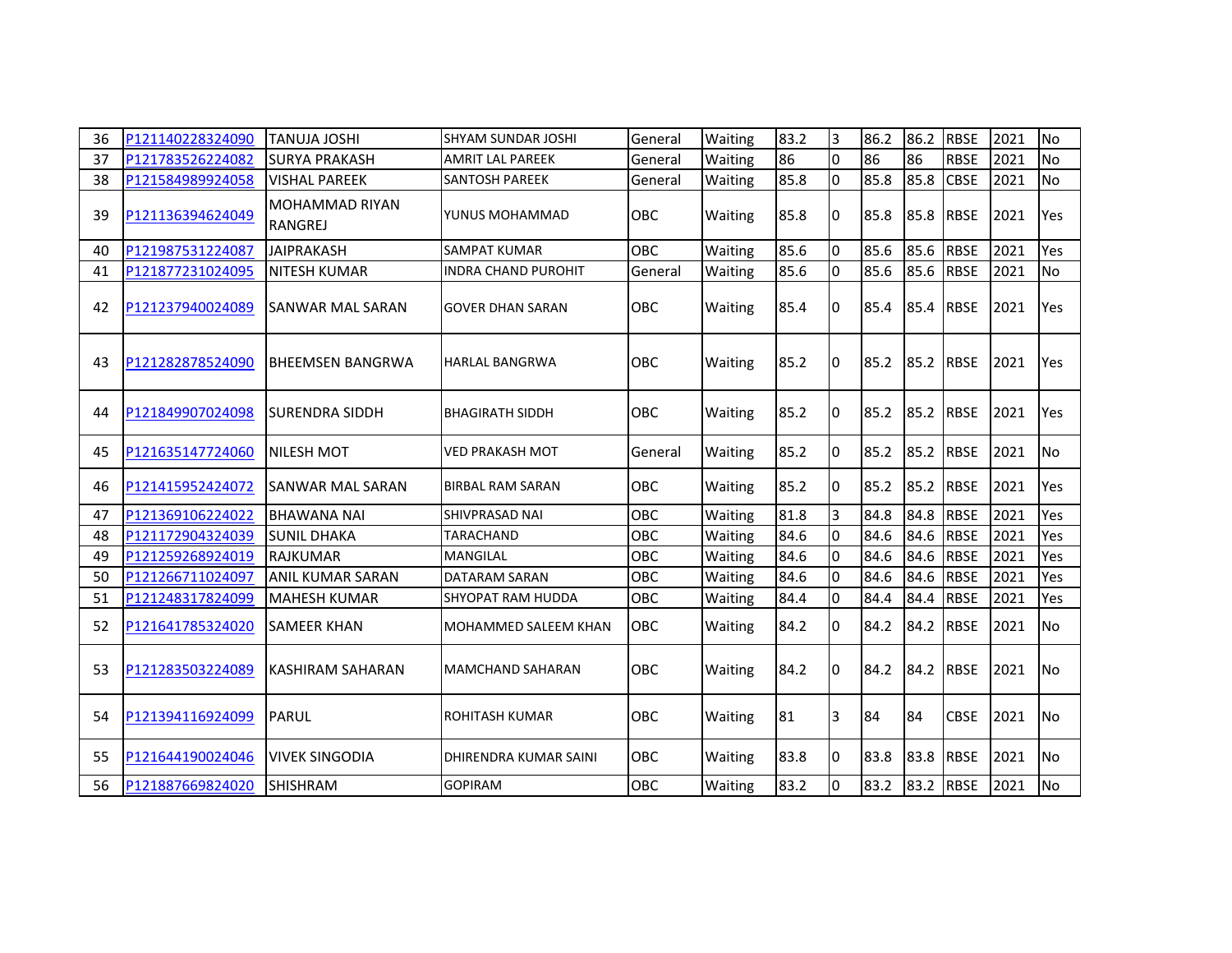| 36 | P121140228324090 | <b>TANUJA JOSHI</b>              | <b>SHYAM SUNDAR JOSHI</b>   | General    | Waiting        | 83.2 | l3             | 86.2 | 86.2 | <b>RBSE</b> | 2021 | <b>No</b> |
|----|------------------|----------------------------------|-----------------------------|------------|----------------|------|----------------|------|------|-------------|------|-----------|
| 37 | P121783526224082 | <b>SURYA PRAKASH</b>             | <b>AMRIT LAL PAREEK</b>     | General    | Waiting        | 86   | I٥             | 86   | 86   | <b>RBSE</b> | 2021 | No        |
| 38 | P121584989924058 | <b>VISHAL PAREEK</b>             | <b>SANTOSH PAREEK</b>       | General    | Waiting        | 85.8 | lo             | 85.8 | 85.8 | <b>CBSE</b> | 2021 | <b>No</b> |
| 39 | P121136394624049 | <b>MOHAMMAD RIYAN</b><br>RANGREJ | YUNUS MOHAMMAD              | OBC        | Waiting        | 85.8 | 10             | 85.8 | 85.8 | <b>RBSE</b> | 2021 | Yes       |
| 40 | P121987531224087 | <b>JAIPRAKASH</b>                | <b>SAMPAT KUMAR</b>         | OBC        | Waiting        | 85.6 | l0             | 85.6 | 85.6 | <b>RBSE</b> | 2021 | Yes       |
| 41 | P121877231024095 | <b>NITESH KUMAR</b>              | <b>INDRA CHAND PUROHIT</b>  | General    | Waiting        | 85.6 | l0             | 85.6 | 85.6 | <b>RBSE</b> | 2021 | No        |
| 42 | P121237940024089 | SANWAR MAL SARAN                 | <b>GOVER DHAN SARAN</b>     | <b>OBC</b> | <b>Waiting</b> | 85.4 | I0             | 85.4 | 85.4 | <b>RBSE</b> | 2021 | Yes       |
| 43 | P121282878524090 | <b>BHEEMSEN BANGRWA</b>          | <b>HARLAL BANGRWA</b>       | <b>OBC</b> | Waiting        | 85.2 | I0             | 85.2 | 85.2 | <b>RBSE</b> | 2021 | Yes       |
| 44 | P121849907024098 | <b>SURENDRA SIDDH</b>            | <b>BHAGIRATH SIDDH</b>      | OBC        | Waiting        | 85.2 | I0             | 85.2 | 85.2 | <b>RBSE</b> | 2021 | Yes       |
| 45 | P121635147724060 | <b>NILESH MOT</b>                | <b>VED PRAKASH MOT</b>      | General    | Waiting        | 85.2 | I0             | 85.2 | 85.2 | <b>RBSE</b> | 2021 | <b>No</b> |
| 46 | P121415952424072 | SANWAR MAL SARAN                 | <b>BIRBAL RAM SARAN</b>     | <b>OBC</b> | <b>Waiting</b> | 85.2 | I0             | 85.2 | 85.2 | <b>RBSE</b> | 2021 | Yes       |
| 47 | P121369106224022 | <b>BHAWANA NAI</b>               | <b>SHIVPRASAD NAI</b>       | OBC        | Waiting        | 81.8 | lЗ             | 84.8 | 84.8 | <b>RBSE</b> | 2021 | Yes       |
| 48 | P121172904324039 | <b>SUNIL DHAKA</b>               | <b>TARACHAND</b>            | OBC        | Waiting        | 84.6 | l0             | 84.6 | 84.6 | <b>RBSE</b> | 2021 | Yes       |
| 49 | P121259268924019 | <b>RAJKUMAR</b>                  | <b>MANGILAL</b>             | OBC        | Waiting        | 84.6 | l0             | 84.6 | 84.6 | <b>RBSE</b> | 2021 | Yes       |
| 50 | P121266711024097 | <b>ANIL KUMAR SARAN</b>          | DATARAM SARAN               | OBC        | Waiting        | 84.6 | $\overline{0}$ | 84.6 | 84.6 | <b>RBSE</b> | 2021 | Yes       |
| 51 | P121248317824099 | <b>MAHESH KUMAR</b>              | SHYOPAT RAM HUDDA           | OBC        | Waiting        | 84.4 | l0             | 84.4 | 84.4 | <b>RBSE</b> | 2021 | Yes       |
| 52 | P121641785324020 | <b>SAMEER KHAN</b>               | <b>MOHAMMED SALEEM KHAN</b> | OBC        | Waiting        | 84.2 | l0             | 84.2 | 84.2 | <b>RBSE</b> | 2021 | <b>No</b> |
| 53 | P121283503224089 | IKASHIRAM SAHARAN                | <b>MAMCHAND SAHARAN</b>     | <b>OBC</b> | Waiting        | 84.2 | I0             | 84.2 | 84.2 | <b>RBSE</b> | 2021 | <b>No</b> |
| 54 | P121394116924099 | PARUL                            | <b>ROHITASH KUMAR</b>       | OBC        | <b>Waiting</b> | 81   | 3              | 84   | 84   | <b>CBSE</b> | 2021 | <b>No</b> |
| 55 | P121644190024046 | <b>VIVEK SINGODIA</b>            | DHIRENDRA KUMAR SAINI       | OBC        | <b>Waiting</b> | 83.8 | 0              | 83.8 | 83.8 | <b>RBSE</b> | 2021 | <b>No</b> |
| 56 | P121887669824020 | <b>SHISHRAM</b>                  | <b>GOPIRAM</b>              | OBC        | Waiting        | 83.2 | I٥             | 83.2 | 83.2 | <b>RBSE</b> | 2021 | <b>No</b> |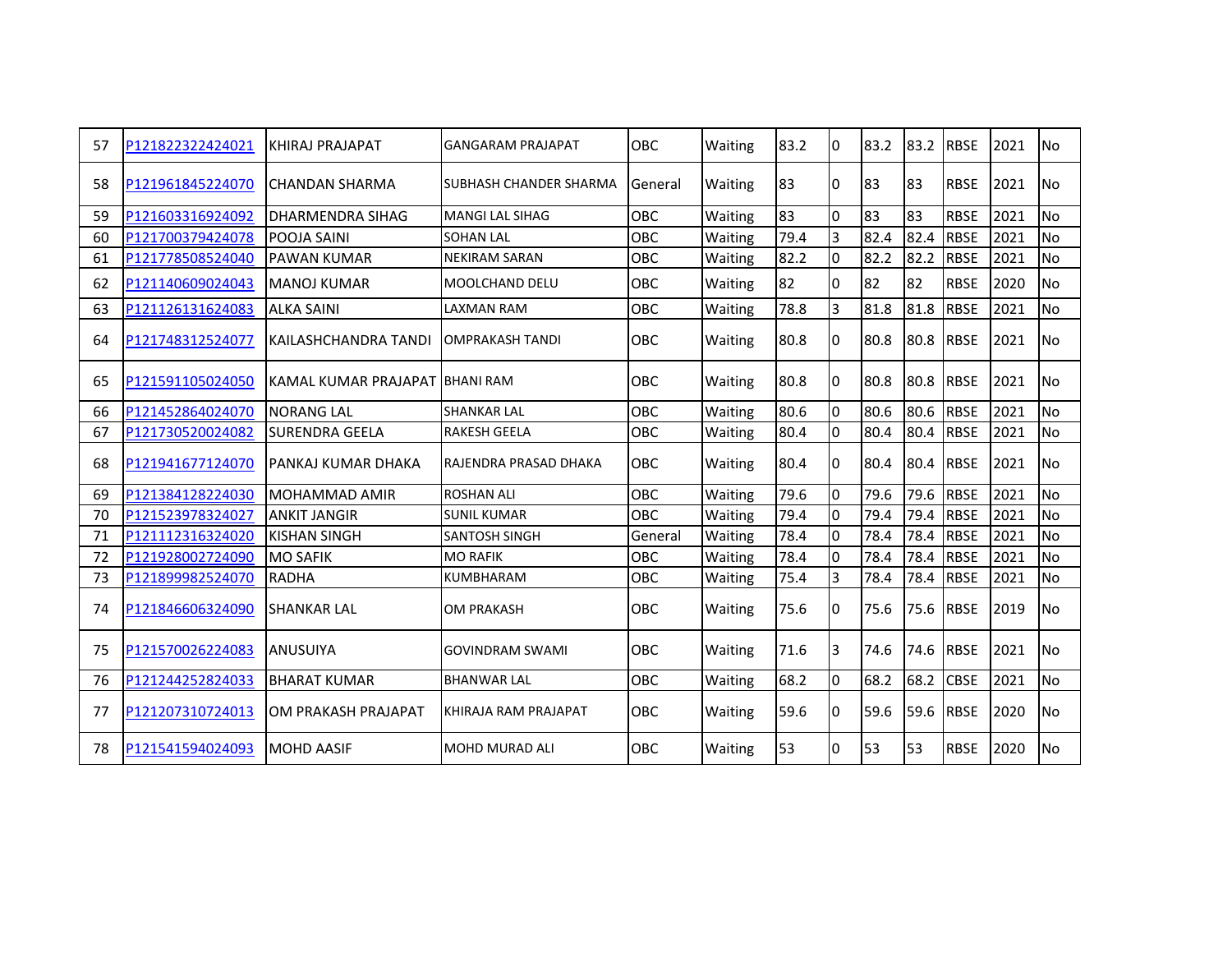| 57 | P121822322424021 | KHIRAJ PRAJAPAT                | <b>GANGARAM PRAJAPAT</b>        | <b>OBC</b> | Waiting | 83.2 | I٥           | 83.2 | 83.2 | <b>RBSE</b> | 2021 | N <sub>0</sub> |
|----|------------------|--------------------------------|---------------------------------|------------|---------|------|--------------|------|------|-------------|------|----------------|
| 58 | P121961845224070 | <b>CHANDAN SHARMA</b>          | <b>I</b> SUBHASH CHANDER SHARMA | General    | Waiting | 83   | 10           | 83   | 83   | <b>RBSE</b> | 2021 | N <sub>0</sub> |
| 59 | P121603316924092 | <b>DHARMENDRA SIHAG</b>        | <b>MANGILAL SIHAG</b>           | OBC        | Waiting | 83   | l0           | 83   | 83   | <b>RBSE</b> | 2021 | No             |
| 60 | P121700379424078 | <b>POOJA SAINI</b>             | <b>SOHAN LAL</b>                | OBC        | Waiting | 79.4 | l3           | 82.4 | 82.4 | <b>RBSE</b> | 2021 | <b>No</b>      |
| 61 | P121778508524040 | <b>PAWAN KUMAR</b>             | <b>NEKIRAM SARAN</b>            | OBC        | Waiting | 82.2 | 0            | 82.2 | 82.2 | <b>RBSE</b> | 2021 | <b>No</b>      |
| 62 | P121140609024043 | <b>MANOJ KUMAR</b>             | <b>MOOLCHAND DELU</b>           | OBC        | Waiting | 82   | I٥           | 82   | 82   | <b>RBSE</b> | 2020 | N <sub>o</sub> |
| 63 | P121126131624083 | <b>ALKA SAINI</b>              | <b>LAXMAN RAM</b>               | OBC        | Waiting | 78.8 | 3            | 81.8 | 81.8 | <b>RBSE</b> | 2021 | No             |
| 64 | P121748312524077 | KAILASHCHANDRA TANDI           | <b>OMPRAKASH TANDI</b>          | <b>OBC</b> | Waiting | 80.8 | I٥           | 80.8 | 80.8 | <b>RBSE</b> | 2021 | N <sub>0</sub> |
| 65 | P121591105024050 | KAMAL KUMAR PRAJAPAT BHANI RAM |                                 | OBC        | Waiting | 80.8 | I0           | 80.8 | 80.8 | <b>RBSE</b> | 2021 | l No           |
| 66 | P121452864024070 | <b>NORANG LAL</b>              | <b>SHANKAR LAL</b>              | OBC        | Waiting | 80.6 | <sup>0</sup> | 80.6 | 80.6 | <b>RBSE</b> | 2021 | No             |
| 67 | P121730520024082 | <b>SURENDRA GEELA</b>          | <b>RAKESH GEELA</b>             | OBC        | Waiting | 80.4 | lo           | 80.4 | 80.4 | <b>RBSE</b> | 2021 | No             |
| 68 | P121941677124070 | IPANKAJ KUMAR DHAKA            | <b>RAJENDRA PRASAD DHAKA</b>    | <b>OBC</b> | Waiting | 80.4 | I٥           | 80.4 | 80.4 | <b>RBSE</b> | 2021 | N <sub>0</sub> |
| 69 | P121384128224030 | <b>MOHAMMAD AMIR</b>           | <b>ROSHAN ALI</b>               | OBC        | Waiting | 79.6 | $\Omega$     | 79.6 | 79.6 | <b>RBSE</b> | 2021 | <b>No</b>      |
| 70 | P121523978324027 | <b>ANKIT JANGIR</b>            | <b>SUNIL KUMAR</b>              | OBC        | Waiting | 79.4 | lo           | 79.4 | 79.4 | <b>RBSE</b> | 2021 | <b>No</b>      |
| 71 | P121112316324020 | <b>KISHAN SINGH</b>            | <b>SANTOSH SINGH</b>            | General    | Waiting | 78.4 | l0           | 78.4 | 78.4 | <b>RBSE</b> | 2021 | <b>No</b>      |
| 72 | P121928002724090 | <b>MO SAFIK</b>                | <b>MO RAFIK</b>                 | OBC        | Waiting | 78.4 | l0           | 78.4 | 78.4 | <b>RBSE</b> | 2021 | <b>No</b>      |
| 73 | P121899982524070 | <b>RADHA</b>                   | <b>KUMBHARAM</b>                | OBC        | Waiting | 75.4 | 3            | 78.4 | 78.4 | <b>RBSE</b> | 2021 | N <sub>o</sub> |
| 74 | P121846606324090 | <b>SHANKAR LAL</b>             | <b>OM PRAKASH</b>               | OBC        | Waiting | 75.6 | I0           | 75.6 | 75.6 | <b>RBSE</b> | 2019 | N <sub>o</sub> |
| 75 | P121570026224083 | <b>ANUSUIYA</b>                | <b>GOVINDRAM SWAMI</b>          | <b>OBC</b> | Waiting | 71.6 | 3            | 74.6 | 74.6 | <b>RBSE</b> | 2021 | N <sub>0</sub> |
| 76 | P121244252824033 | <b>BHARAT KUMAR</b>            | <b>BHANWAR LAL</b>              | OBC        | Waiting | 68.2 | 0            | 68.2 | 68.2 | <b>CBSE</b> | 2021 | No             |
| 77 | P121207310724013 | OM PRAKASH PRAJAPAT            | KHIRAJA RAM PRAJAPAT            | OBC        | Waiting | 59.6 | I٥           | 59.6 | 59.6 | <b>RBSE</b> | 2020 | N <sub>o</sub> |
| 78 | P121541594024093 | <b>MOHD AASIF</b>              | <b>MOHD MURAD ALI</b>           | OBC        | Waiting | 53   | I٥           | 53   | 53   | <b>RBSE</b> | 2020 | <b>No</b>      |